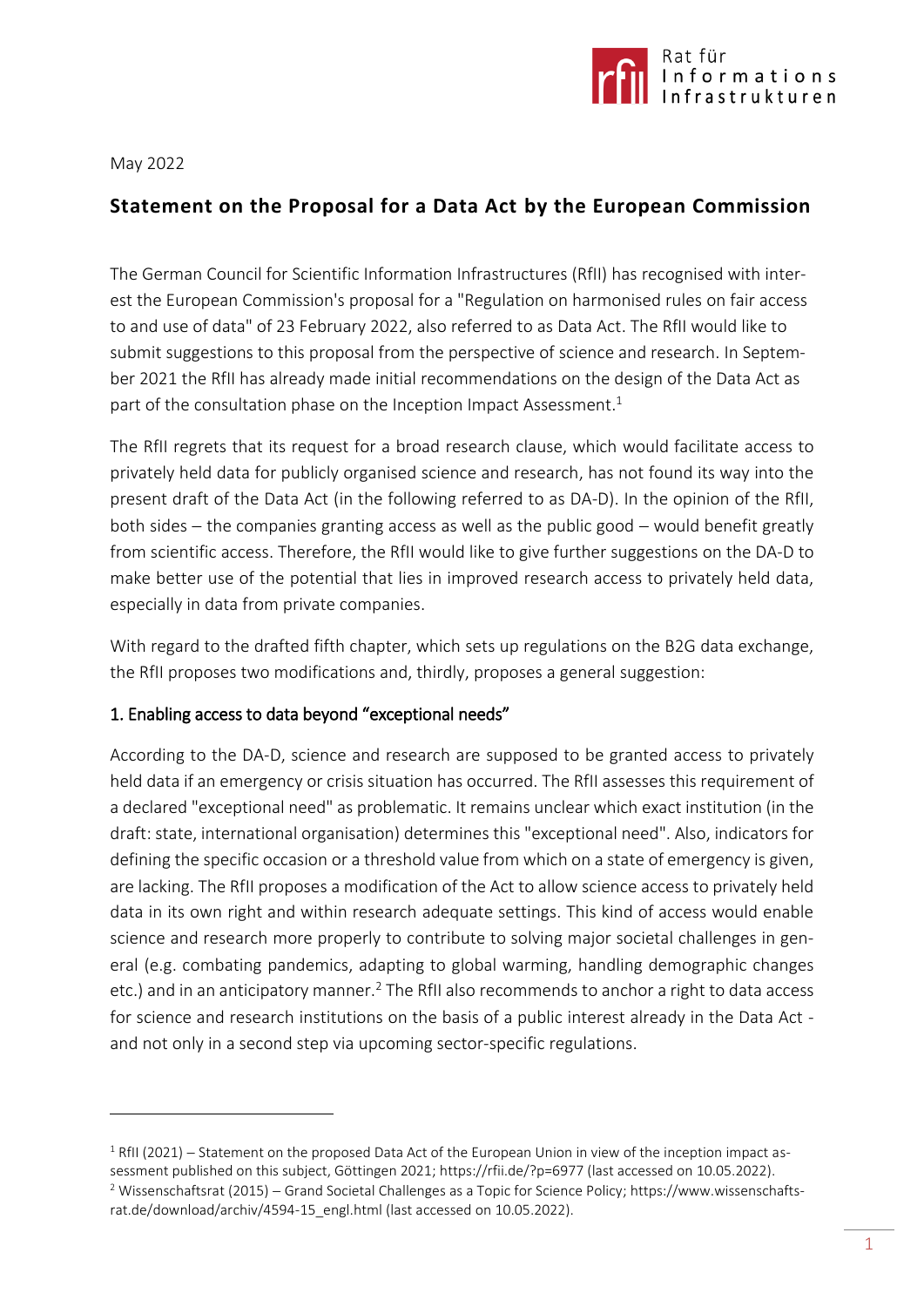

May 2022

 $\overline{a}$ 

# **Statement on the Proposal for a Data Act by the European Commission**

The German Council for Scientific Information Infrastructures (RfII) has recognised with interest the European Commission's proposal for a "Regulation on harmonised rules on fair access to and use of data" of 23 February 2022, also referred to as Data Act. The RfII would like to submit suggestions to this proposal from the perspective of science and research. In September 2021 the RfII has already made initial recommendations on the design of the Data Act as part of the consultation phase on the Inception Impact Assessment.<sup>1</sup>

The RfII regrets that its request for a broad research clause, which would facilitate access to privately held data for publicly organised science and research, has not found its way into the present draft of the Data Act (in the following referred to as DA-D). In the opinion of the RfII, both sides  $-$  the companies granting access as well as the public good  $-$  would benefit greatly from scientific access. Therefore, the RfII would like to give further suggestions on the DA-D to make better use of the potential that lies in improved research access to privately held data, especially in data from private companies.

With regard to the drafted fifth chapter, which sets up regulations on the B2G data exchange, the RfII proposes two modifications and, thirdly, proposes a general suggestion:

### 1. Enabling access to data beyond "exceptional needs"

According to the DA-D, science and research are supposed to be granted access to privately held data if an emergency or crisis situation has occurred. The RfII assesses this requirement of a declared "exceptional need" as problematic. It remains unclear which exact institution (in the draft: state, international organisation) determines this "exceptional need". Also, indicators for defining the specific occasion or a threshold value from which on a state of emergency is given, are lacking. The RfII proposes a modification of the Act to allow science access to privately held data in its own right and within research adequate settings. This kind of access would enable science and research more properly to contribute to solving major societal challenges in general (e.g. combating pandemics, adapting to global warming, handling demographic changes etc.) and in an anticipatory manner.<sup>2</sup> The RfII also recommends to anchor a right to data access for science and research institutions on the basis of a public interest already in the Data Act and not only in a second step via upcoming sector-specific regulations.

 $1$  RfII (2021) – Statement on the proposed Data Act of the European Union in view of the inception impact assessment published on this subject, Göttingen 2021[; https://rfii.de/?p=6977](https://rfii.de/?p=6977) (last accessed on 10.05.2022).

<sup>&</sup>lt;sup>2</sup> Wissenschaftsrat (2015) - Grand Societal Challenges as a Topic for Science Policy; [https://www.wissenschafts](https://www.wissenschaftsrat.de/download/archiv/4594-15_engl.html)[rat.de/download/archiv/4594-15\\_engl.html](https://www.wissenschaftsrat.de/download/archiv/4594-15_engl.html) (last accessed on 10.05.2022).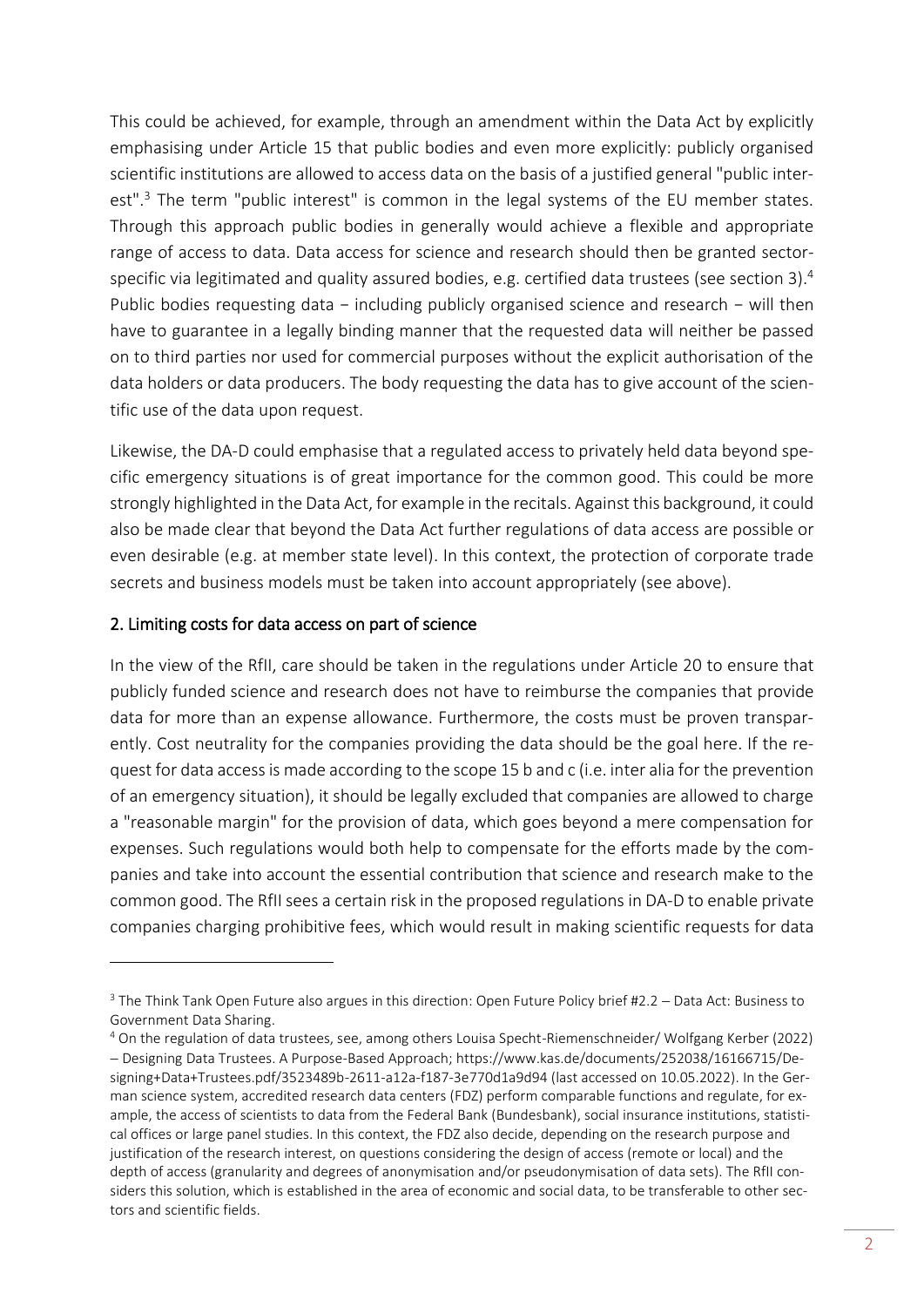This could be achieved, for example, through an amendment within the Data Act by explicitly emphasising under Article 15 that public bodies and even more explicitly: publicly organised scientific institutions are allowed to access data on the basis of a justified general "public interest".<sup>3</sup> The term "public interest" is common in the legal systems of the EU member states. Through this approach public bodies in generally would achieve a flexible and appropriate range of access to data. Data access for science and research should then be granted sectorspecific via legitimated and quality assured bodies, e.g. certified data trustees (see section 3).<sup>4</sup> Public bodies requesting data − including publicly organised science and research − will then have to guarantee in a legally binding manner that the requested data will neither be passed on to third parties nor used for commercial purposes without the explicit authorisation of the data holders or data producers. The body requesting the data has to give account of the scientific use of the data upon request.

Likewise, the DA-D could emphasise that a regulated access to privately held data beyond specific emergency situations is of great importance for the common good. This could be more strongly highlighted in the Data Act, for example in the recitals. Against this background, it could also be made clear that beyond the Data Act further regulations of data access are possible or even desirable (e.g. at member state level). In this context, the protection of corporate trade secrets and business models must be taken into account appropriately (see above).

# 2. Limiting costs for data access on part of science

 $\overline{a}$ 

In the view of the RfII, care should be taken in the regulations under Article 20 to ensure that publicly funded science and research does not have to reimburse the companies that provide data for more than an expense allowance. Furthermore, the costs must be proven transparently. Cost neutrality for the companies providing the data should be the goal here. If the request for data access is made according to the scope 15 b and c (i.e. inter alia for the prevention of an emergency situation), it should be legally excluded that companies are allowed to charge a "reasonable margin" for the provision of data, which goes beyond a mere compensation for expenses. Such regulations would both help to compensate for the efforts made by the companies and take into account the essential contribution that science and research make to the common good. The RfII sees a certain risk in the proposed regulations in DA-D to enable private companies charging prohibitive fees, which would result in making scientific requests for data

 $3$  The Think Tank Open Future also argues in this direction: Open Future Policy brief #2.2 – Data Act: Business to Government Data Sharing.

<sup>4</sup> On the regulation of data trustees, see, among others Louisa Specht-Riemenschneider/ Wolfgang Kerber (2022) Designing Data Trustees. A Purpose-Based Approach; [https://www.kas.de/documents/252038/16166715/De](https://www.kas.de/documents/252038/16166715/Designing+Data+Trustees.pdf/3523489b-2611-a12a-f187-3e770d1a9d94)[signing+Data+Trustees.pdf/3523489b-2611-a12a-f187-3e770d1a9d94](https://www.kas.de/documents/252038/16166715/Designing+Data+Trustees.pdf/3523489b-2611-a12a-f187-3e770d1a9d94) (last accessed on 10.05.2022). In the German science system, accredited research data centers (FDZ) perform comparable functions and regulate, for example, the access of scientists to data from the Federal Bank (Bundesbank), social insurance institutions, statistical offices or large panel studies. In this context, the FDZ also decide, depending on the research purpose and justification of the research interest, on questions considering the design of access (remote or local) and the depth of access (granularity and degrees of anonymisation and/or pseudonymisation of data sets). The RfII considers this solution, which is established in the area of economic and social data, to be transferable to other sectors and scientific fields.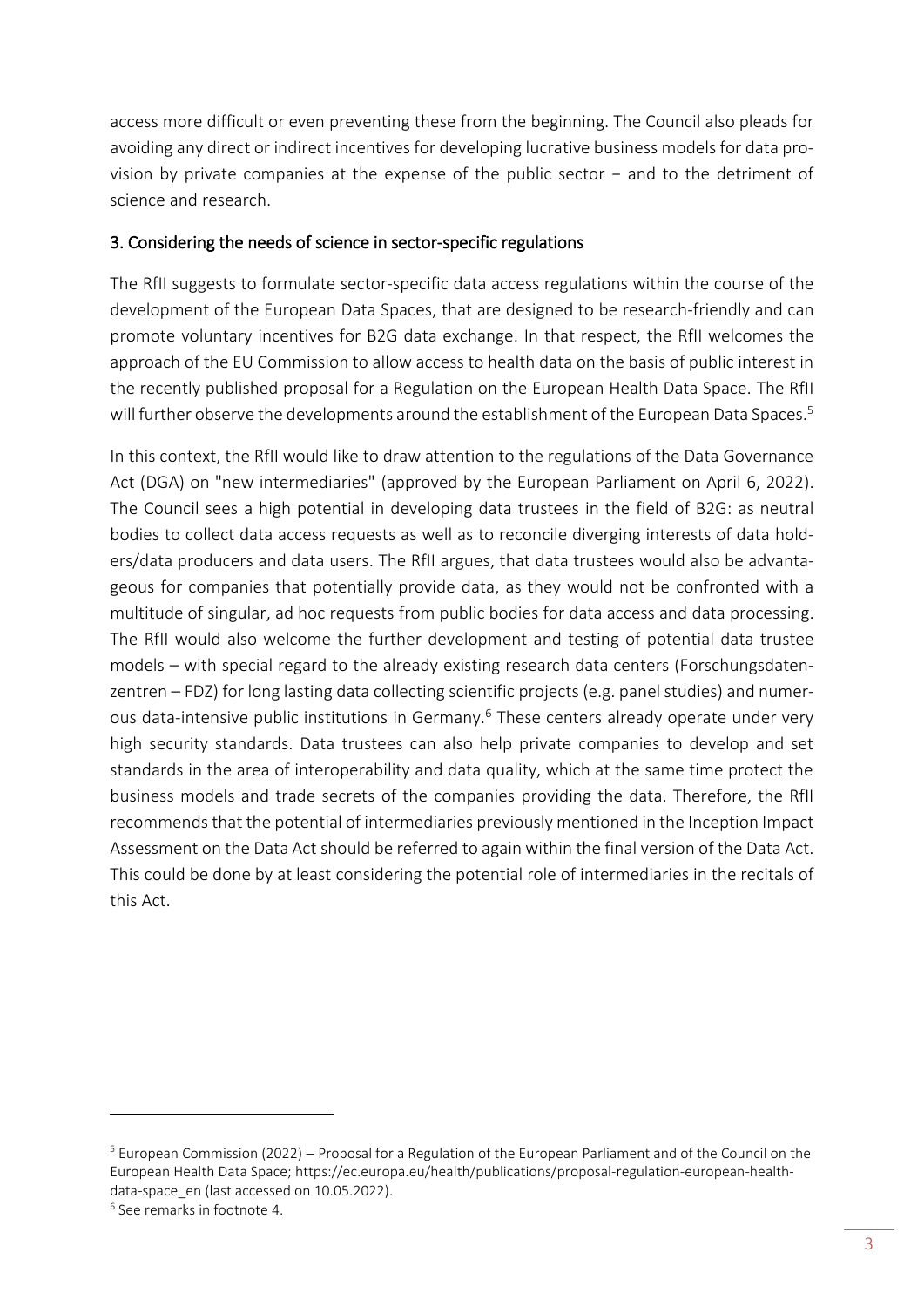access more difficult or even preventing these from the beginning. The Council also pleads for avoiding any direct or indirect incentives for developing lucrative business models for data provision by private companies at the expense of the public sector − and to the detriment of science and research.

## 3. Considering the needs of science in sector-specific regulations

The RfII suggests to formulate sector-specific data access regulations within the course of the development of the European Data Spaces, that are designed to be research-friendly and can promote voluntary incentives for B2G data exchange. In that respect, the RfII welcomes the approach of the EU Commission to allow access to health data on the basis of public interest in the recently published proposal for a Regulation on the European Health Data Space. The RfII will further observe the developments around the establishment of the European Data Spaces.<sup>5</sup>

In this context, the RfII would like to draw attention to the regulations of the Data Governance Act (DGA) on "new intermediaries" (approved by the European Parliament on April 6, 2022). The Council sees a high potential in developing data trustees in the field of B2G: as neutral bodies to collect data access requests as well as to reconcile diverging interests of data holders/data producers and data users. The RfII argues, that data trustees would also be advantageous for companies that potentially provide data, as they would not be confronted with a multitude of singular, ad hoc requests from public bodies for data access and data processing. The RfII would also welcome the further development and testing of potential data trustee models – with special regard to the already existing research data centers (Forschungsdatenzentren – FDZ) for long lasting data collecting scientific projects (e.g. panel studies) and numerous data-intensive public institutions in Germany.<sup>6</sup> These centers already operate under very high security standards. Data trustees can also help private companies to develop and set standards in the area of interoperability and data quality, which at the same time protect the business models and trade secrets of the companies providing the data. Therefore, the RfII recommends that the potential of intermediaries previously mentioned in the Inception Impact Assessment on the Data Act should be referred to again within the final version of the Data Act. This could be done by at least considering the potential role of intermediaries in the recitals of this Act.

 $\overline{a}$ 

<sup>&</sup>lt;sup>5</sup> European Commission (2022) – Proposal for a Regulation of the European Parliament and of the Council on the European Health Data Space; [https://ec.europa.eu/health/publications/proposal-regulation-european-health](https://ec.europa.eu/health/publications/proposal-regulation-european-health-data-space_en)data-space en (last accessed on 10.05.2022).

<sup>6</sup> See remarks in footnote 4.